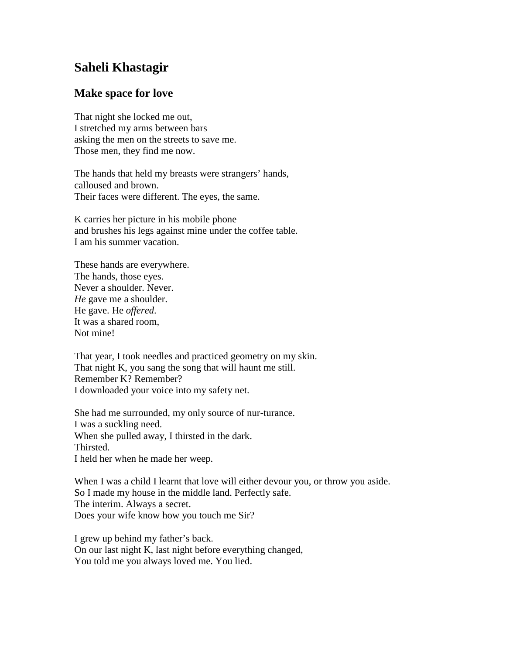## **Saheli Khastagir**

## **Make space for love**

That night she locked me out, I stretched my arms between bars asking the men on the streets to save me. Those men, they find me now.

The hands that held my breasts were strangers' hands, calloused and brown. Their faces were different. The eyes, the same.

K carries her picture in his mobile phone and brushes his legs against mine under the coffee table. I am his summer vacation.

These hands are everywhere. The hands, those eyes. Never a shoulder. Never. *He* gave me a shoulder. He gave. He *offered*. It was a shared room, Not mine!

That year, I took needles and practiced geometry on my skin. That night K, you sang the song that will haunt me still. Remember K? Remember? I downloaded your voice into my safety net.

She had me surrounded, my only source of nur-turance. I was a suckling need. When she pulled away, I thirsted in the dark. Thirsted. I held her when he made her weep.

When I was a child I learnt that love will either devour you, or throw you aside. So I made my house in the middle land. Perfectly safe. The interim. Always a secret. Does your wife know how you touch me Sir?

I grew up behind my father's back. On our last night K, last night before everything changed, You told me you always loved me. You lied.